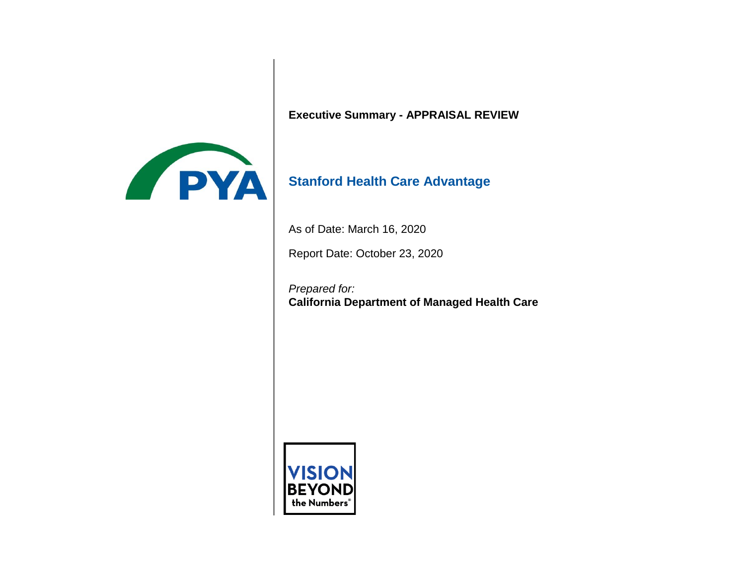

**Executive Summary - APPRAISAL REVIEW** 

# **Stanford Health Care Advantage**

As of Date: March 16, 2020

Report Date: October 23, 2020

*Prepared for:*  **California Department of Managed Health Care** 

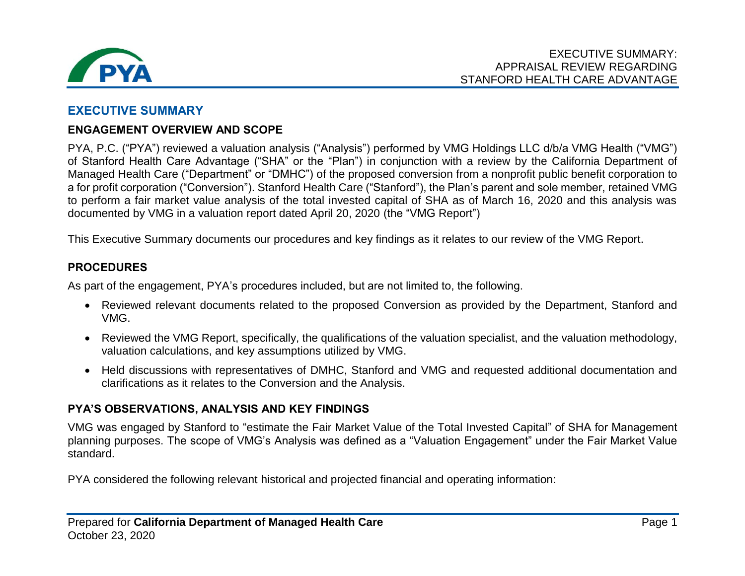

### **EXECUTIVE SUMMARY**

#### **ENGAGEMENT OVERVIEW AND SCOPE**

 PYA, P.C. ("PYA") reviewed a valuation analysis ("Analysis") performed by VMG Holdings LLC d/b/a VMG Health ("VMG") of Stanford Health Care Advantage ("SHA" or the "Plan") in conjunction with a review by the California Department of Managed Health Care ("Department" or "DMHC") of the proposed conversion from a nonprofit public benefit corporation to a for profit corporation ("Conversion"). Stanford Health Care ("Stanford"), the Plan's parent and sole member, retained VMG to perform a fair market value analysis of the total invested capital of SHA as of March 16, 2020 and this analysis was documented by VMG in a valuation report dated April 20, 2020 (the "VMG Report")

This Executive Summary documents our procedures and key findings as it relates to our review of the VMG Report.

#### **PROCEDURES**

As part of the engagement, PYA's procedures included, but are not limited to, the following.

- Reviewed relevant documents related to the proposed Conversion as provided by the Department, Stanford and VMG.
- Reviewed the VMG Report, specifically, the qualifications of the valuation specialist, and the valuation methodology, valuation calculations, and key assumptions utilized by VMG.
- Held discussions with representatives of DMHC, Stanford and VMG and requested additional documentation and clarifications as it relates to the Conversion and the Analysis.

#### **PYA'S OBSERVATIONS, ANALYSIS AND KEY FINDINGS**

 VMG was engaged by Stanford to "estimate the Fair Market Value of the Total Invested Capital" of SHA for Management planning purposes. The scope of VMG's Analysis was defined as a "Valuation Engagement" under the Fair Market Value standard.

PYA considered the following relevant historical and projected financial and operating information: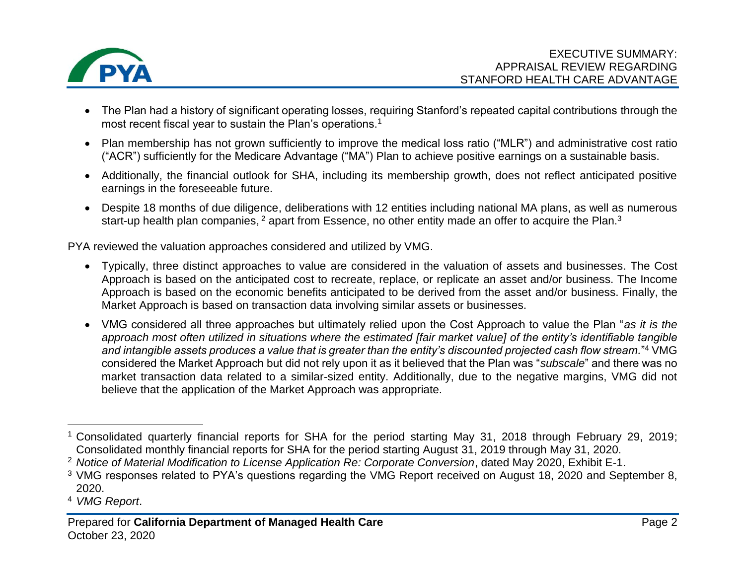

- The Plan had a history of significant operating losses, requiring Stanford's repeated capital contributions through the most recent fiscal year to sustain the Plan's operations.<sup>1</sup>
- Plan membership has not grown sufficiently to improve the medical loss ratio ("MLR") and administrative cost ratio ("ACR") sufficiently for the Medicare Advantage ("MA") Plan to achieve positive earnings on a sustainable basis.
- Additionally, the financial outlook for SHA, including its membership growth, does not reflect anticipated positive earnings in the foreseeable future.
- Despite 18 months of due diligence, deliberations with 12 entities including national MA plans, as well as numerous start-up health plan companies, <sup>2</sup> apart from Essence, no other entity made an offer to acquire the Plan.<sup>3</sup>

PYA reviewed the valuation approaches considered and utilized by VMG.

- Typically, three distinct approaches to value are considered in the valuation of assets and businesses. The Cost Approach is based on the anticipated cost to recreate, replace, or replicate an asset and/or business. The Income Approach is based on the economic benefits anticipated to be derived from the asset and/or business. Finally, the Market Approach is based on transaction data involving similar assets or businesses.
- VMG considered all three approaches but ultimately relied upon the Cost Approach to value the Plan "*as it is the approach most often utilized in situations where the estimated [fair market value] of the entity's identifiable tangible and intangible assets produces a value that is greater than the entity's discounted projected cash flow stream.*"4 VMG considered the Market Approach but did not rely upon it as it believed that the Plan was "*subscale*" and there was no market transaction data related to a similar-sized entity. Additionally, due to the negative margins, VMG did not believe that the application of the Market Approach was appropriate.

 $\overline{a}$ <sup>1</sup> Consolidated quarterly financial reports for SHA for the period starting May 31, 2018 through February 29, 2019; Consolidated monthly financial reports for SHA for the period starting August 31, 2019 through May 31, 2020.

 <sup>2</sup>*Notice of Material Modification to License Application Re: Corporate Conversion*, dated May 2020, Exhibit E-1.

 $3$  VMG responses related to PYA's questions regarding the VMG Report received on August 18, 2020 and September 8, 2020.

<sup>4</sup>*VMG Report*.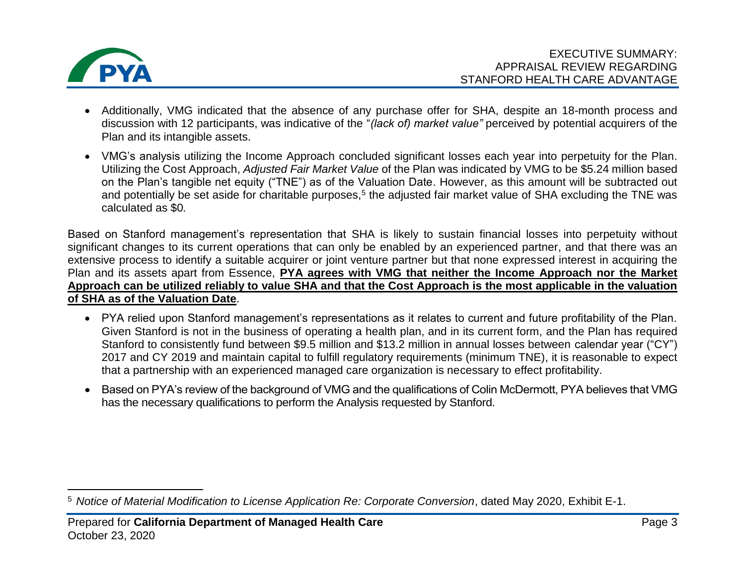

 $\overline{a}$ 

- Additionally, VMG indicated that the absence of any purchase offer for SHA, despite an 18-month process and discussion with 12 participants, was indicative of the "*(lack of) market value"* perceived by potential acquirers of the Plan and its intangible assets.
- VMG's analysis utilizing the Income Approach concluded significant losses each year into perpetuity for the Plan. Utilizing the Cost Approach, *Adjusted Fair Market Value* of the Plan was indicated by VMG to be \$5.24 million based on the Plan's tangible net equity ("TNE") as of the Valuation Date. However, as this amount will be subtracted out and potentially be set aside for charitable purposes,<sup>5</sup> the adjusted fair market value of SHA excluding the TNE was calculated as \$0*.*

 Based on Stanford management's representation that SHA is likely to sustain financial losses into perpetuity without significant changes to its current operations that can only be enabled by an experienced partner, and that there was an extensive process to identify a suitable acquirer or joint venture partner but that none expressed interest in acquiring the Plan and its assets apart from Essence, **PYA agrees with VMG that neither the Income Approach nor the Market Approach can be utilized reliably to value SHA and that the Cost Approach is the most applicable in the valuation of SHA as of the Valuation Date**.

- PYA relied upon Stanford management's representations as it relates to current and future profitability of the Plan. Given Stanford is not in the business of operating a health plan, and in its current form, and the Plan has required Stanford to consistently fund between \$9.5 million and \$13.2 million in annual losses between calendar year ("CY") 2017 and CY 2019 and maintain capital to fulfill regulatory requirements (minimum TNE), it is reasonable to expect that a partnership with an experienced managed care organization is necessary to effect profitability.
- Based on PYA's review of the background of VMG and the qualifications of Colin McDermott, PYA believes that VMG has the necessary qualifications to perform the Analysis requested by Stanford.

 <sup>5</sup>*Notice of Material Modification to License Application Re: Corporate Conversion*, dated May 2020, Exhibit E-1.